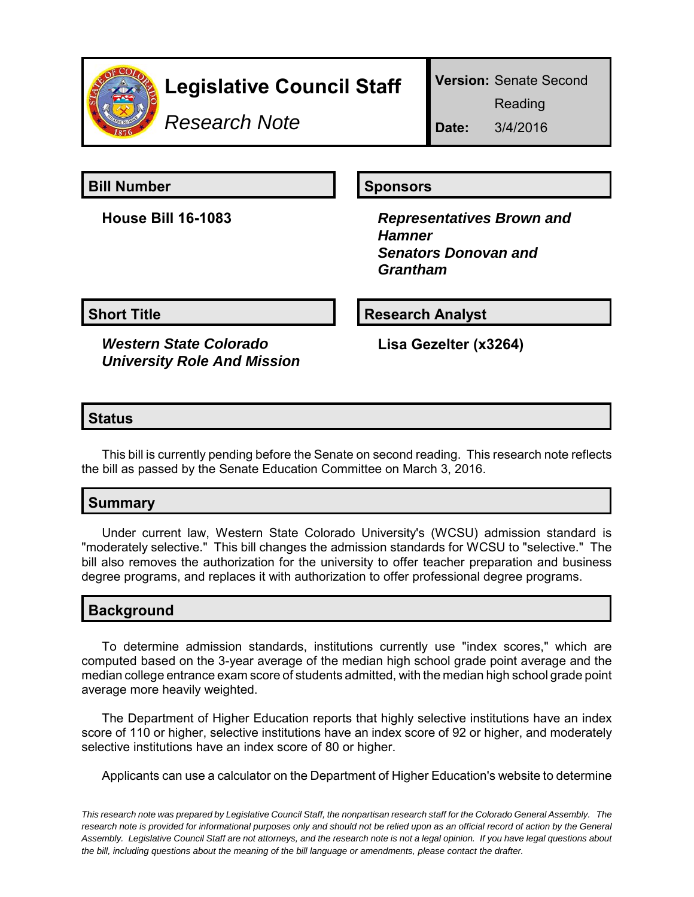

# **Legislative Council Staff**

**Version:** Senate Second

Reading

*Research Note*

**Date:** 3/4/2016

**Bill Number Sponsors** 

**House Bill 16-1083** *Representatives Brown and Hamner Senators Donovan and Grantham*

*Western State Colorado University Role And Mission*

**Short Title**  Research Analyst

**Lisa Gezelter (x3264)**

### **Status**

This bill is currently pending before the Senate on second reading. This research note reflects the bill as passed by the Senate Education Committee on March 3, 2016.

# **Summary**

Under current law, Western State Colorado University's (WCSU) admission standard is "moderately selective." This bill changes the admission standards for WCSU to "selective." The bill also removes the authorization for the university to offer teacher preparation and business degree programs, and replaces it with authorization to offer professional degree programs.

# **Background**

To determine admission standards, institutions currently use "index scores," which are computed based on the 3-year average of the median high school grade point average and the median college entrance exam score of students admitted, with the median high school grade point average more heavily weighted.

The Department of Higher Education reports that highly selective institutions have an index score of 110 or higher, selective institutions have an index score of 92 or higher, and moderately selective institutions have an index score of 80 or higher.

Applicants can use a calculator on the Department of Higher Education's website to determine

*This research note was prepared by Legislative Council Staff, the nonpartisan research staff for the Colorado General Assembly. The research note is provided for informational purposes only and should not be relied upon as an official record of action by the General Assembly. Legislative Council Staff are not attorneys, and the research note is not a legal opinion. If you have legal questions about the bill, including questions about the meaning of the bill language or amendments, please contact the drafter.*